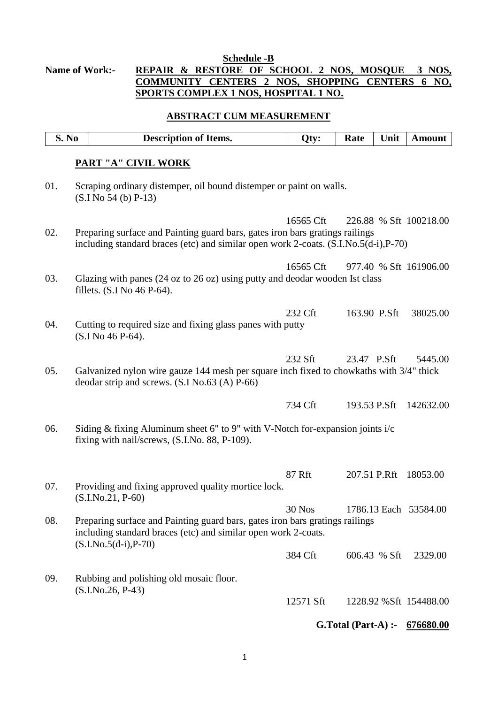## **Schedule -B Name of Work:- REPAIR & RESTORE OF SCHOOL 2 NOS, MOSQUE 3 NOS, COMMUNITY CENTERS 2 NOS, SHOPPING CENTERS 6 NO, SPORTS COMPLEX 1 NOS, HOSPITAL 1 NO.**

## **ABSTRACT CUM MEASUREMENT**

|     | S. No | <b>Description of Items.</b>                                                                                                                                         | Qty:      | Rate                 | Unit | <b>Amount</b>           |
|-----|-------|----------------------------------------------------------------------------------------------------------------------------------------------------------------------|-----------|----------------------|------|-------------------------|
|     |       | <b>PART "A" CIVIL WORK</b>                                                                                                                                           |           |                      |      |                         |
| 01. |       | Scraping ordinary distemper, oil bound distemper or paint on walls.<br>$(S.I No 54(b) P-13)$                                                                         |           |                      |      |                         |
| 02. |       | Preparing surface and Painting guard bars, gates iron bars gratings railings<br>including standard braces (etc) and similar open work 2-coats. (S.I.No.5(d-i), P-70) | 16565 Cft |                      |      | 226.88 % Sft 100218.00  |
| 03. |       | Glazing with panes (24 oz to 26 oz) using putty and deodar wooden Ist class<br>fillets. (S.I No 46 P-64).                                                            | 16565 Cft |                      |      | 977.40 % Sft 161906.00  |
| 04. |       | Cutting to required size and fixing glass panes with putty<br>(S.I No 46 P-64).                                                                                      | 232 Cft   | 163.90 P.Sft         |      | 38025.00                |
| 05. |       | Galvanized nylon wire gauze 144 mesh per square inch fixed to chowkaths with 3/4" thick<br>deodar strip and screws. $(S.I No.63 (A) P-66)$                           | 232 Sft   | 23.47 P.Sft          |      | 5445.00                 |
|     |       |                                                                                                                                                                      | 734 Cft   | 193.53 P.Sft         |      | 142632.00               |
| 06. |       | Siding & fixing Aluminum sheet 6" to 9" with V-Notch for-expansion joints i/c<br>fixing with nail/screws, (S.I.No. 88, P-109).                                       |           |                      |      |                         |
| 07. |       | Providing and fixing approved quality mortice lock.<br>$(S.I.No.21, P-60)$                                                                                           | 87 Rft    | 207.51 P.Rft         |      | 18053.00                |
| 08. |       | Preparing surface and Painting guard bars, gates iron bars gratings railings<br>including standard braces (etc) and similar open work 2-coats.                       | $30$ Nos  |                      |      | 1786.13 Each 53584.00   |
|     |       | $(S.I.No.5(d-i), P-70)$                                                                                                                                              | 384 Cft   | 606.43 % Sft         |      | 2329.00                 |
| 09. |       | Rubbing and polishing old mosaic floor.                                                                                                                              |           |                      |      |                         |
|     |       | $(S.I.No.26, P-43)$                                                                                                                                                  | 12571 Sft |                      |      | 1228.92 % Sft 154488.00 |
|     |       |                                                                                                                                                                      |           | $G.Total (Part-A)$ : |      | 676680.00               |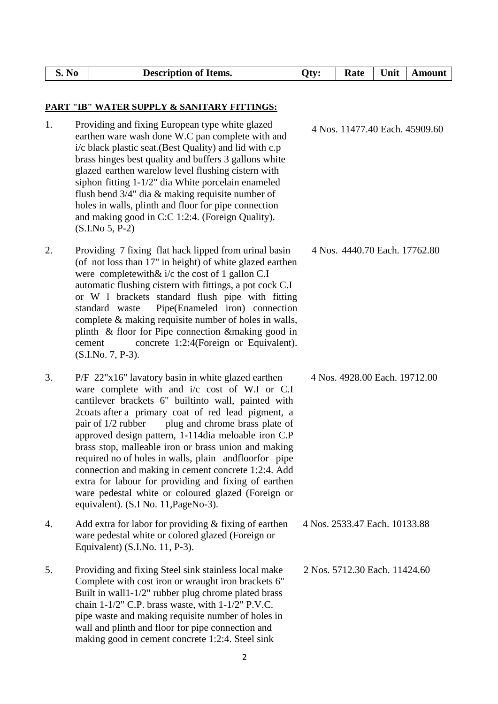| S. No | <b>Description of Items.</b>                                                                                                                                                                                                                                                                                                                                                                                                                                                                                                                                                                                                                                    | Qty: | Rate                          | Unit | <b>Amount</b>                  |
|-------|-----------------------------------------------------------------------------------------------------------------------------------------------------------------------------------------------------------------------------------------------------------------------------------------------------------------------------------------------------------------------------------------------------------------------------------------------------------------------------------------------------------------------------------------------------------------------------------------------------------------------------------------------------------------|------|-------------------------------|------|--------------------------------|
|       | <b>PART "IB" WATER SUPPLY &amp; SANITARY FITTINGS:</b>                                                                                                                                                                                                                                                                                                                                                                                                                                                                                                                                                                                                          |      |                               |      |                                |
| 1.    | Providing and fixing European type white glazed<br>earthen ware wash done W.C pan complete with and<br>i/c black plastic seat. (Best Quality) and lid with c.p<br>brass hinges best quality and buffers 3 gallons white<br>glazed earthen warelow level flushing cistern with<br>siphon fitting 1-1/2" dia White porcelain enameled<br>flush bend $3/4$ " dia & making requisite number of<br>holes in walls, plinth and floor for pipe connection<br>and making good in C:C 1:2:4. (Foreign Quality).<br>$(S.I.No 5, P-2)$                                                                                                                                     |      |                               |      | 4 Nos. 11477.40 Each. 45909.60 |
| 2.    | Providing 7 fixing flat hack lipped from urinal basin<br>(of not loss than 17" in height) of white glazed earthen<br>were complete with $\&$ i/c the cost of 1 gallon C.I<br>automatic flushing cistern with fittings, a pot cock C.I<br>or W 1 brackets standard flush pipe with fitting<br>Pipe(Enameled iron) connection<br>standard waste<br>complete $\&$ making requisite number of holes in walls,<br>plinth & floor for Pipe connection & making good in<br>concrete 1:2:4(Foreign or Equivalent).<br>cement<br>(S.I.No. 7, P-3).                                                                                                                       |      | 4 Nos. 4440.70 Each. 17762.80 |      |                                |
| 3.    | P/F 22"x16" lavatory basin in white glazed earthen<br>ware complete with and i/c cost of W.I or C.I<br>cantilever brackets 6" builtinto wall, painted with<br>2coats after a primary coat of red lead pigment, a<br>plug and chrome brass plate of<br>pair of 1/2 rubber<br>approved design pattern, 1-114dia meloable iron C.P<br>brass stop, malleable iron or brass union and making<br>required no of holes in walls, plain and floor for pipe<br>connection and making in cement concrete 1:2:4. Add<br>extra for labour for providing and fixing of earthen<br>ware pedestal white or coloured glazed (Foreign or<br>equivalent). (S.I No. 11, PageNo-3). |      | 4 Nos. 4928.00 Each. 19712.00 |      |                                |
| 4.    | Add extra for labor for providing $&$ fixing of earthen<br>ware pedestal white or colored glazed (Foreign or<br>Equivalent) (S.I.No. 11, P-3).                                                                                                                                                                                                                                                                                                                                                                                                                                                                                                                  |      | 4 Nos. 2533.47 Each. 10133.88 |      |                                |
| 5.    | Providing and fixing Steel sink stainless local make<br>Complete with cost iron or wraught iron brackets 6"<br>Built in wall1-1/2" rubber plug chrome plated brass<br>chain $1-1/2$ " C.P. brass waste, with $1-1/2$ " P.V.C.<br>pipe waste and making requisite number of holes in<br>wall and plinth and floor for pipe connection and<br>making good in cement concrete 1:2:4. Steel sink                                                                                                                                                                                                                                                                    |      | 2 Nos. 5712.30 Each. 11424.60 |      |                                |
|       | $\overline{2}$                                                                                                                                                                                                                                                                                                                                                                                                                                                                                                                                                                                                                                                  |      |                               |      |                                |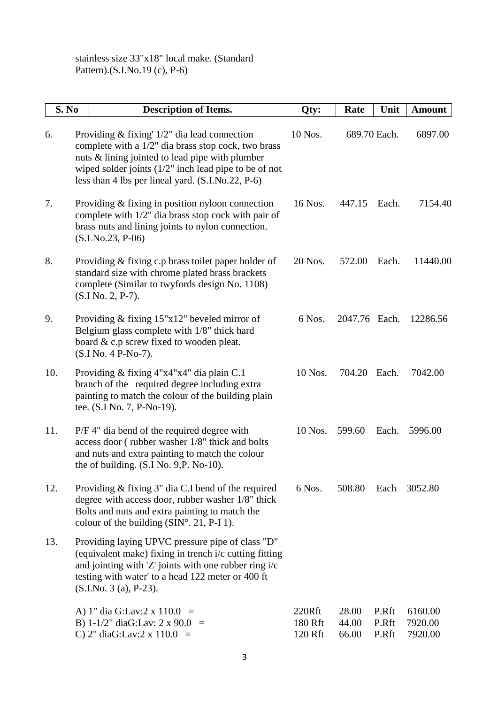stainless size 33"x18" local make. (Standard Pattern).(S.I.No.19 (c), P-6)

| <b>S. No</b> | <b>Description of Items.</b>                                                                                                                                                                                                                                                 | Qty:                         | Rate                    | Unit                    | <b>Amount</b>                 |
|--------------|------------------------------------------------------------------------------------------------------------------------------------------------------------------------------------------------------------------------------------------------------------------------------|------------------------------|-------------------------|-------------------------|-------------------------------|
| 6.           | Providing $&$ fixing' $1/2"$ dia lead connection<br>complete with a 1/2" dia brass stop cock, two brass<br>nuts & lining jointed to lead pipe with plumber<br>wiped solder joints $(1/2)$ " inch lead pipe to be of not<br>less than 4 lbs per lineal yard. (S.I.No.22, P-6) | 10 Nos.                      |                         | 689.70 Each.            | 6897.00                       |
| 7.           | Providing $&$ fixing in position nyloon connection<br>complete with $1/2$ " dia brass stop cock with pair of<br>brass nuts and lining joints to nylon connection.<br>$(S.LNo.23, P-06)$                                                                                      | 16 Nos.                      | 447.15                  | Each.                   | 7154.40                       |
| 8.           | Providing & fixing c.p brass toilet paper holder of<br>standard size with chrome plated brass brackets<br>complete (Similar to twyfords design No. 1108)<br>$(S.I No. 2, P-7).$                                                                                              | 20 Nos.                      | 572.00                  | Each.                   | 11440.00                      |
| 9.           | Providing $&$ fixing 15"x12" beveled mirror of<br>Belgium glass complete with 1/8" thick hard<br>board & c.p screw fixed to wooden pleat.<br>(S.I No. 4 P-No-7).                                                                                                             | 6 Nos.                       | 2047.76 Each.           |                         | 12286.56                      |
| 10.          | Providing & fixing 4"x4"x4" dia plain C.1<br>branch of the required degree including extra<br>painting to match the colour of the building plain<br>tee. (S.I No. 7, P-No-19).                                                                                               | 10 Nos.                      | 704.20                  | Each.                   | 7042.00                       |
| 11.          | P/F 4" dia bend of the required degree with<br>access door (rubber washer 1/8" thick and bolts<br>and nuts and extra painting to match the colour<br>the of building. (S.I No. 9, P. No-10).                                                                                 | 10 Nos.                      | 599.60                  | Each.                   | 5996.00                       |
| 12.          | Providing $&$ fixing $3"$ dia C.I bend of the required<br>degree with access door, rubber washer 1/8" thick<br>Bolts and nuts and extra painting to match the<br>colour of the building $(SIN^{\circ}, 21, P-I 1)$ .                                                         | 6 Nos.                       | 508.80                  | Each                    | 3052.80                       |
| 13.          | Providing laying UPVC pressure pipe of class "D"<br>(equivalent make) fixing in trench i/c cutting fitting<br>and jointing with 'Z' joints with one rubber ring i/c<br>testing with water' to a head 122 meter or 400 ft<br>$(S.I.No. 3 (a), P-23).$                         |                              |                         |                         |                               |
|              | A) 1" dia G:Lav:2 x 110.0 =<br>B) 1-1/2" diaG:Lav: 2 x 90.0 =<br>C) 2" diaG:Lav:2 x $110.0$ =                                                                                                                                                                                | 220Rft<br>180 Rft<br>120 Rft | 28.00<br>44.00<br>66.00 | P.Rft<br>P.Rft<br>P.Rft | 6160.00<br>7920.00<br>7920.00 |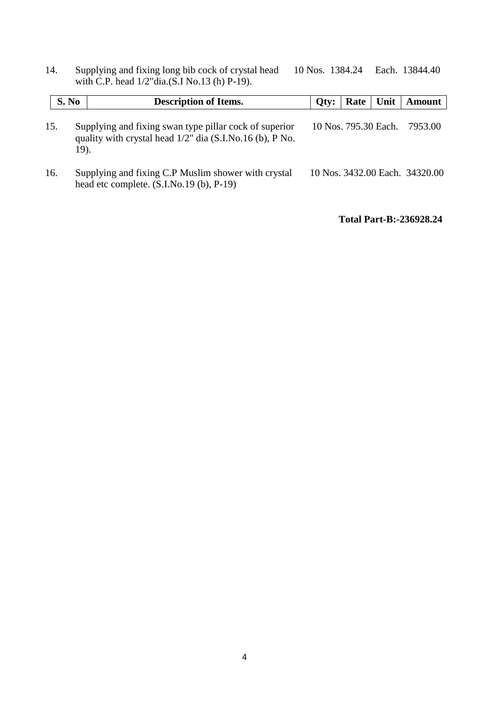14. Supplying and fixing long bib cock of crystal head 10 Nos. 1384.24 Each. 13844.40 with C.P. head 1/2"dia.(S.I No.13 (h) P-19).

| S. No | <b>Description of Items.</b>                                                                                                  | Qty:                 | Rate | <b>Unit</b> | Amount                         |
|-------|-------------------------------------------------------------------------------------------------------------------------------|----------------------|------|-------------|--------------------------------|
| 15.   | Supplying and fixing swan type pillar cock of superior<br>quality with crystal head $1/2$ " dia (S.I.No.16 (b), P No.<br>19). | 10 Nos. 795.30 Each. |      |             | 7953.00                        |
| 16.   | Supplying and fixing C.P Muslim shower with crystal<br>head etc complete. (S.I.No.19 (b), P-19)                               |                      |      |             | 10 Nos. 3432.00 Each. 34320.00 |

**Total Part-B:-236928.24**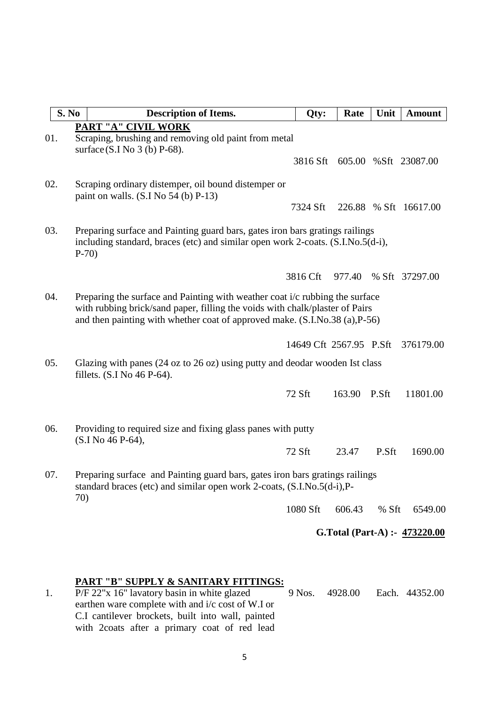| S. No | <b>Description of Items.</b>                                                                                                                                                                                                               | Qty:                    | Rate   | Unit  | <b>Amount</b>                 |  |
|-------|--------------------------------------------------------------------------------------------------------------------------------------------------------------------------------------------------------------------------------------------|-------------------------|--------|-------|-------------------------------|--|
|       | <b>PART "A" CIVIL WORK</b>                                                                                                                                                                                                                 |                         |        |       |                               |  |
| 01.   | Scraping, brushing and removing old paint from metal<br>surface (S.I No 3 (b) P-68).                                                                                                                                                       |                         |        |       |                               |  |
|       |                                                                                                                                                                                                                                            | 3816 Sft                |        |       | 605.00 %Sft 23087.00          |  |
| 02.   | Scraping ordinary distemper, oil bound distemper or<br>paint on walls. $(S.I No 54(b) P-13)$                                                                                                                                               |                         |        |       |                               |  |
|       |                                                                                                                                                                                                                                            | 7324 Sft                |        |       | 226.88 % Sft 16617.00         |  |
| 03.   | Preparing surface and Painting guard bars, gates iron bars gratings railings<br>including standard, braces (etc) and similar open work 2-coats. (S.I.No.5(d-i),<br>$P-70$                                                                  |                         |        |       |                               |  |
|       |                                                                                                                                                                                                                                            | 3816 Cft                | 977.40 |       | % Sft 37297.00                |  |
|       |                                                                                                                                                                                                                                            |                         |        |       |                               |  |
| 04.   | Preparing the surface and Painting with weather coat i/c rubbing the surface<br>with rubbing brick/sand paper, filling the voids with chalk/plaster of Pairs<br>and then painting with whether coat of approved make. (S.I.No.38 (a),P-56) |                         |        |       |                               |  |
|       |                                                                                                                                                                                                                                            | 14649 Cft 2567.95 P.Sft |        |       | 376179.00                     |  |
| 05.   | Glazing with panes (24 oz to 26 oz) using putty and deodar wooden Ist class<br>fillets. (S.I No 46 P-64).                                                                                                                                  |                         |        |       |                               |  |
|       |                                                                                                                                                                                                                                            | 72 Sft                  | 163.90 | P.Sft | 11801.00                      |  |
| 06.   | Providing to required size and fixing glass panes with putty<br>(S.I No 46 P-64),                                                                                                                                                          |                         |        |       |                               |  |
|       |                                                                                                                                                                                                                                            | 72 Sft                  | 23.47  | P.Sft | 1690.00                       |  |
| 07.   | Preparing surface and Painting guard bars, gates iron bars gratings railings<br>standard braces (etc) and similar open work 2-coats, (S.I.No.5(d-i), P-<br>70)                                                                             |                         |        |       |                               |  |
|       |                                                                                                                                                                                                                                            | 1080 Sft                | 606.43 | % Sft | 6549.00                       |  |
|       |                                                                                                                                                                                                                                            |                         |        |       | G.Total (Part-A) :- 473220.00 |  |
|       |                                                                                                                                                                                                                                            |                         |        |       |                               |  |

## **PART "B" SUPPLY & SANITARY FITTINGS:**

1. P/F 22"x 16" lavatory basin in white glazed 9 Nos. 4928.00 Each. 44352.00 earthen ware complete with and i/c cost of W.I or C.I cantilever brockets, built into wall, painted with 2coats after a primary coat of red lead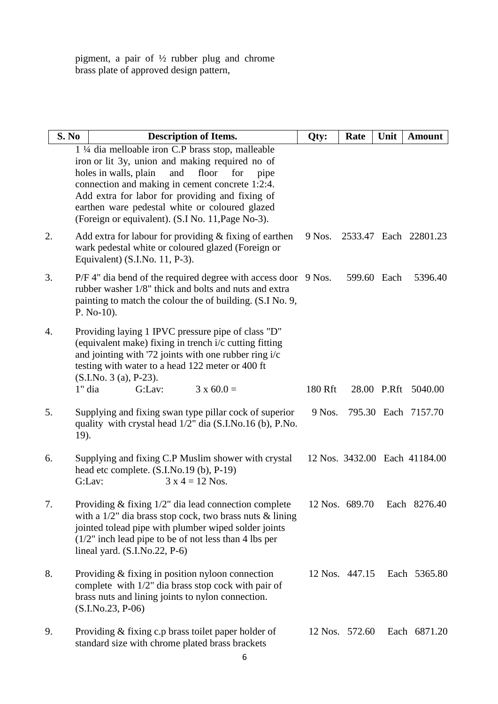pigment, a pair of  $\frac{1}{2}$  rubber plug and chrome brass plate of approved design pattern,

|    | S. No    | <b>Description of Items.</b>                                                                                                                                                                                                                                                                                                                                             | Qty:    | Rate           | Unit | <b>Amount</b>                 |
|----|----------|--------------------------------------------------------------------------------------------------------------------------------------------------------------------------------------------------------------------------------------------------------------------------------------------------------------------------------------------------------------------------|---------|----------------|------|-------------------------------|
|    |          | 1 ¼ dia melloable iron C.P brass stop, malleable<br>iron or lit 3y, union and making required no of<br>holes in walls, plain<br>floor<br>and<br>for<br>pipe<br>connection and making in cement concrete 1:2:4.<br>Add extra for labor for providing and fixing of<br>earthen ware pedestal white or coloured glazed<br>(Foreign or equivalent). (S.I No. 11, Page No-3). |         |                |      |                               |
| 2. |          | Add extra for labour for providing $&$ fixing of earthen<br>wark pedestal white or coloured glazed (Foreign or<br>Equivalent) (S.I.No. 11, P-3).                                                                                                                                                                                                                         | 9 Nos.  |                |      | 2533.47 Each 22801.23         |
| 3. |          | P/F 4" dia bend of the required degree with access door 9 Nos.<br>rubber washer 1/8" thick and bolts and nuts and extra<br>painting to match the colour the of building. (S.I No. 9,<br>$P. No-10.$                                                                                                                                                                      |         | 599.60 Each    |      | 5396.40                       |
| 4. |          | Providing laying 1 IPVC pressure pipe of class "D"<br>(equivalent make) fixing in trench i/c cutting fitting<br>and jointing with '72 joints with one rubber ring i/c<br>testing with water to a head 122 meter or 400 ft<br>$(S.I.No. 3 (a), P-23).$                                                                                                                    |         |                |      |                               |
|    | $1"$ dia | $3 \times 60.0 =$<br>G:Lav:                                                                                                                                                                                                                                                                                                                                              | 180 Rft |                |      | 28.00 P.Rft 5040.00           |
| 5. | 19).     | Supplying and fixing swan type pillar cock of superior<br>quality with crystal head $1/2$ " dia (S.I.No.16 (b), P.No.                                                                                                                                                                                                                                                    | 9 Nos.  |                |      | 795.30 Each 7157.70           |
| 6. |          | Supplying and fixing C.P Muslim shower with crystal<br>head etc complete. (S.I.No.19 (b), P-19)<br>G:Lav:<br>$3 x 4 = 12$ Nos.                                                                                                                                                                                                                                           |         |                |      | 12 Nos. 3432.00 Each 41184.00 |
| 7. |          | Providing & fixing 1/2" dia lead connection complete<br>with a $1/2$ " dia brass stop cock, two brass nuts & lining<br>jointed tolead pipe with plumber wiped solder joints<br>$(1/2)$ " inch lead pipe to be of not less than 4 lbs per<br>lineal yard. $(S.I.No.22, P-6)$                                                                                              |         | 12 Nos. 689.70 |      | Each 8276.40                  |
| 8. |          | Providing & fixing in position nyloon connection<br>complete with $1/2$ " dia brass stop cock with pair of<br>brass nuts and lining joints to nylon connection.<br>$(S.I.No.23, P-06)$                                                                                                                                                                                   |         | 12 Nos. 447.15 |      | Each 5365.80                  |
| 9. |          | Providing & fixing c.p brass toilet paper holder of<br>standard size with chrome plated brass brackets                                                                                                                                                                                                                                                                   |         | 12 Nos. 572.60 |      | Each 6871.20                  |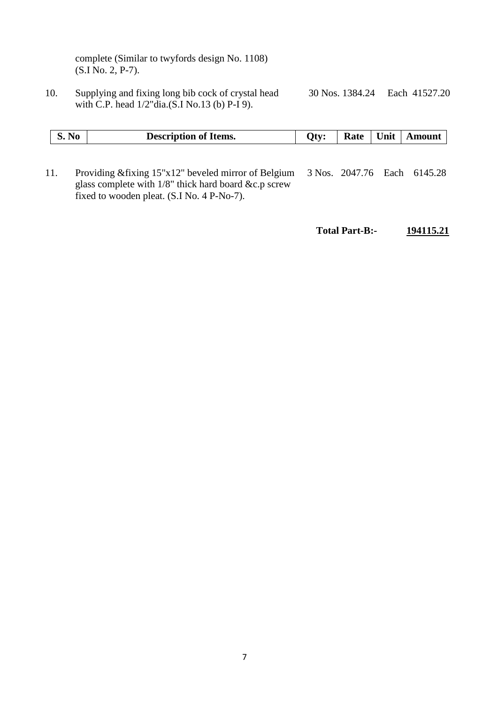complete (Similar to twyfords design No. 1108) (S.I No. 2, P-7).

10. Supplying and fixing long bib cock of crystal head 30 Nos. 1384.24 Each 41527.20 with C.P. head 1/2"dia.(S.I No.13 (b) P-I 9).

|     | S. No | <b>Description of Items.</b>                                                                                                                                  | Oty: |  | Rate   Unit   Amount        |
|-----|-------|---------------------------------------------------------------------------------------------------------------------------------------------------------------|------|--|-----------------------------|
| 11. |       | Providing & fixing 15"x12" beveled mirror of Belgium<br>glass complete with $1/8$ " thick hard board &c.p screw<br>fixed to wooden pleat. (S.I No. 4 P-No-7). |      |  | 3 Nos. 2047.76 Each 6145.28 |

**Total Part-B:- 194115.21**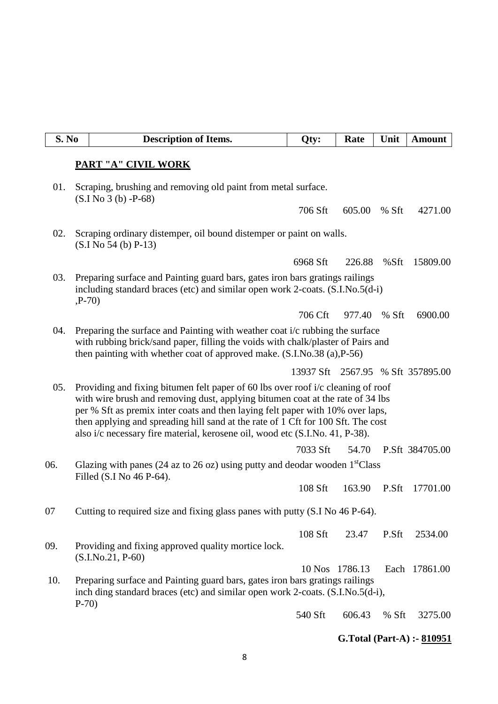| S. No |                                                                                                                                                                                                                                                                                                                                                                                                                          | <b>Description of Items.</b>                                                                                                                                  | Qty:           | Rate   | Unit  | <b>Amount</b>                     |
|-------|--------------------------------------------------------------------------------------------------------------------------------------------------------------------------------------------------------------------------------------------------------------------------------------------------------------------------------------------------------------------------------------------------------------------------|---------------------------------------------------------------------------------------------------------------------------------------------------------------|----------------|--------|-------|-----------------------------------|
|       |                                                                                                                                                                                                                                                                                                                                                                                                                          | <b>PART "A" CIVIL WORK</b>                                                                                                                                    |                |        |       |                                   |
| 01.   |                                                                                                                                                                                                                                                                                                                                                                                                                          | Scraping, brushing and removing old paint from metal surface.<br>$(S.I No 3(b) - P-68)$                                                                       |                |        |       |                                   |
|       |                                                                                                                                                                                                                                                                                                                                                                                                                          |                                                                                                                                                               | 706 Sft        | 605.00 | % Sft | 4271.00                           |
| 02.   | Scraping ordinary distemper, oil bound distemper or paint on walls.<br>$(S.I No 54(b) P-13)$                                                                                                                                                                                                                                                                                                                             |                                                                                                                                                               |                |        |       |                                   |
|       |                                                                                                                                                                                                                                                                                                                                                                                                                          |                                                                                                                                                               | 6968 Sft       | 226.88 | %Sft  | 15809.00                          |
| 03.   | $P-70$                                                                                                                                                                                                                                                                                                                                                                                                                   | Preparing surface and Painting guard bars, gates iron bars gratings railings<br>including standard braces (etc) and similar open work 2-coats. (S.I.No.5(d-i) |                |        |       |                                   |
|       |                                                                                                                                                                                                                                                                                                                                                                                                                          |                                                                                                                                                               | 706 Cft        | 977.40 | % Sft | 6900.00                           |
| 04.   | Preparing the surface and Painting with weather coat i/c rubbing the surface<br>with rubbing brick/sand paper, filling the voids with chalk/plaster of Pairs and<br>then painting with whether coat of approved make. (S.I.No.38 (a), P-56)                                                                                                                                                                              |                                                                                                                                                               |                |        |       |                                   |
|       |                                                                                                                                                                                                                                                                                                                                                                                                                          |                                                                                                                                                               |                |        |       | 13937 Sft 2567.95 % Sft 357895.00 |
| 05.   | Providing and fixing bitumen felt paper of 60 lbs over roof i/c cleaning of roof<br>with wire brush and removing dust, applying bitumen coat at the rate of 34 lbs<br>per % Sft as premix inter coats and then laying felt paper with 10% over laps,<br>then applying and spreading hill sand at the rate of 1 Cft for 100 Sft. The cost<br>also i/c necessary fire material, kerosene oil, wood etc (S.I.No. 41, P-38). |                                                                                                                                                               |                |        |       |                                   |
|       |                                                                                                                                                                                                                                                                                                                                                                                                                          |                                                                                                                                                               | 7033 Sft       |        |       | 54.70 P.Sft 384705.00             |
| 06.   |                                                                                                                                                                                                                                                                                                                                                                                                                          | Glazing with panes (24 az to 26 oz) using putty and deodar wooden $1stClass$<br>Filled (S.I No 46 P-64).                                                      |                |        |       |                                   |
|       |                                                                                                                                                                                                                                                                                                                                                                                                                          |                                                                                                                                                               | 108 Sft        | 163.90 | P.Sft | 17701.00                          |
| 07    |                                                                                                                                                                                                                                                                                                                                                                                                                          | Cutting to required size and fixing glass panes with putty (S.I No 46 P-64).                                                                                  |                |        |       |                                   |
|       |                                                                                                                                                                                                                                                                                                                                                                                                                          |                                                                                                                                                               | 108 Sft        | 23.47  | P.Sft | 2534.00                           |
| 09.   |                                                                                                                                                                                                                                                                                                                                                                                                                          | Providing and fixing approved quality mortice lock.<br>$(S.I.No.21, P-60)$                                                                                    |                |        |       |                                   |
| 10.   |                                                                                                                                                                                                                                                                                                                                                                                                                          | Preparing surface and Painting guard bars, gates iron bars gratings railings                                                                                  | 10 Nos 1786.13 |        |       | Each 17861.00                     |
|       | $P-70$                                                                                                                                                                                                                                                                                                                                                                                                                   | inch ding standard braces (etc) and similar open work 2-coats. (S.I.No.5(d-i),                                                                                |                |        |       |                                   |
|       |                                                                                                                                                                                                                                                                                                                                                                                                                          |                                                                                                                                                               | 540 Sft        | 606.43 | % Sft | 3275.00                           |

**G.Total (Part-A) :- 810951**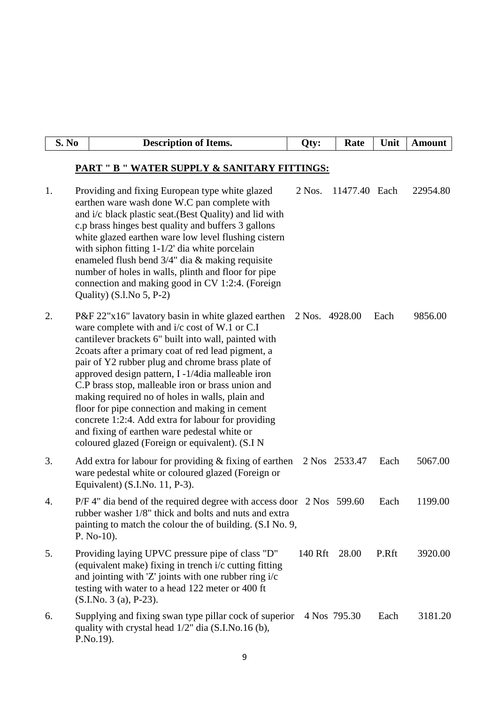| S. No | <b>Description of Items.</b>                                                                                                                                                                                                                                                                                                                                                                                                                                                                                                                                                                                                                      | Qty:           | Rate          | Unit  | <b>Amount</b> |
|-------|---------------------------------------------------------------------------------------------------------------------------------------------------------------------------------------------------------------------------------------------------------------------------------------------------------------------------------------------------------------------------------------------------------------------------------------------------------------------------------------------------------------------------------------------------------------------------------------------------------------------------------------------------|----------------|---------------|-------|---------------|
|       | <b>PART " B " WATER SUPPLY &amp; SANITARY FITTINGS:</b>                                                                                                                                                                                                                                                                                                                                                                                                                                                                                                                                                                                           |                |               |       |               |
| 1.    | Providing and fixing European type white glazed<br>earthen ware wash done W.C pan complete with<br>and i/c black plastic seat. (Best Quality) and lid with<br>c.p brass hinges best quality and buffers 3 gallons<br>white glazed earthen ware low level flushing cistern<br>with siphon fitting $1-1/2$ dia white porcelain<br>enameled flush bend $3/4$ " dia & making requisite<br>number of holes in walls, plinth and floor for pipe<br>connection and making good in CV 1:2:4. (Foreign<br>Quality) $(S.l.No 5, P-2)$                                                                                                                       | $2$ Nos.       | 11477.40 Each |       | 22954.80      |
| 2.    | $P\&F 22"x16"$ lavatory basin in white glazed earthen<br>ware complete with and i/c cost of W.1 or C.I<br>cantilever brackets 6" built into wall, painted with<br>2 coats after a primary coat of red lead pigment, a<br>pair of Y2 rubber plug and chrome brass plate of<br>approved design pattern, I -1/4dia malleable iron<br>C.P brass stop, malleable iron or brass union and<br>making required no of holes in walls, plain and<br>floor for pipe connection and making in cement<br>concrete 1:2:4. Add extra for labour for providing<br>and fixing of earthen ware pedestal white or<br>coloured glazed (Foreign or equivalent). (S.I N | 2 Nos. 4928.00 |               | Each  | 9856.00       |
| 3.    | Add extra for labour for providing $&$ fixing of earthen<br>ware pedestal white or coloured glazed (Foreign or<br>Equivalent) (S.I.No. 11, P-3).                                                                                                                                                                                                                                                                                                                                                                                                                                                                                                  |                | 2 Nos 2533.47 | Each  | 5067.00       |
| 4.    | P/F 4" dia bend of the required degree with access door 2 Nos 599.60<br>rubber washer 1/8" thick and bolts and nuts and extra<br>painting to match the colour the of building. (S.I No. 9,<br>$P. No-10.$                                                                                                                                                                                                                                                                                                                                                                                                                                         |                |               | Each  | 1199.00       |
| 5.    | Providing laying UPVC pressure pipe of class "D"<br>(equivalent make) fixing in trench i/c cutting fitting<br>and jointing with $Z'$ joints with one rubber ring $i/c$<br>testing with water to a head 122 meter or 400 ft<br>$(S.I.No. 3 (a), P-23).$                                                                                                                                                                                                                                                                                                                                                                                            | 140 Rft        | 28.00         | P.Rft | 3920.00       |
| 6.    | Supplying and fixing swan type pillar cock of superior<br>quality with crystal head 1/2" dia (S.I.No.16 (b),<br>P.No.19).                                                                                                                                                                                                                                                                                                                                                                                                                                                                                                                         |                | 4 Nos 795.30  | Each  | 3181.20       |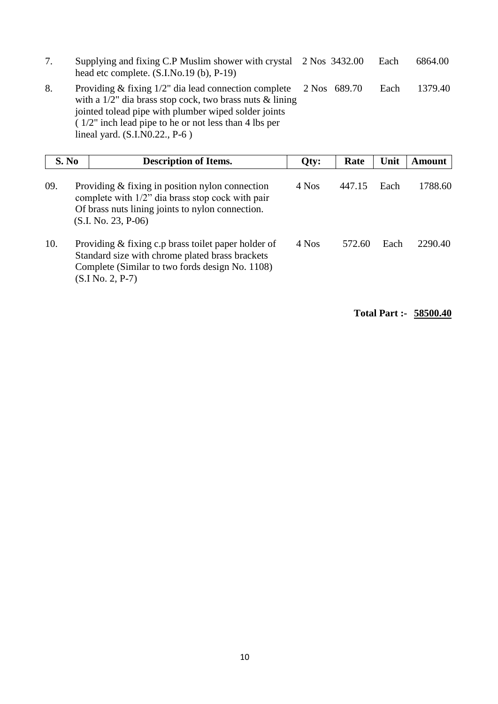7. Supplying and fixing C.P Muslim shower with crystal 2 Nos 3432.00 Each 6864.00 head etc complete.  $(S.I.No.19(b), P-19)$ 8. Providing & fixing 1/2" dia lead connection complete 2 Nos 689.70 Each 1379.40 with a 1/2" dia brass stop cock, two brass nuts & lining jointed tolead pipe with plumber wiped solder joints  $(1/2)$  inch lead pipe to he or not less than 4 lbs per

lineal yard. (S.I.N0.22., P-6 )

|     | S. No | <b>Description of Items.</b>                                                                                                                                                       | Qty:  | Rate   | Unit | Amount  |
|-----|-------|------------------------------------------------------------------------------------------------------------------------------------------------------------------------------------|-------|--------|------|---------|
| 09. |       | Providing $&$ fixing in position nylon connection<br>complete with 1/2" dia brass stop cock with pair<br>Of brass nuts lining joints to nylon connection.<br>$(S.I. No. 23, P-06)$ | 4 Nos | 447.15 | Each | 1788.60 |
| 10. |       | Providing $&$ fixing c.p brass toilet paper holder of<br>Standard size with chrome plated brass brackets<br>Complete (Similar to two fords design No. 1108)<br>$(S.I No. 2, P-7)$  | 4 Nos | 572.60 | Each | 2290.40 |

**Total Part :- 58500.40**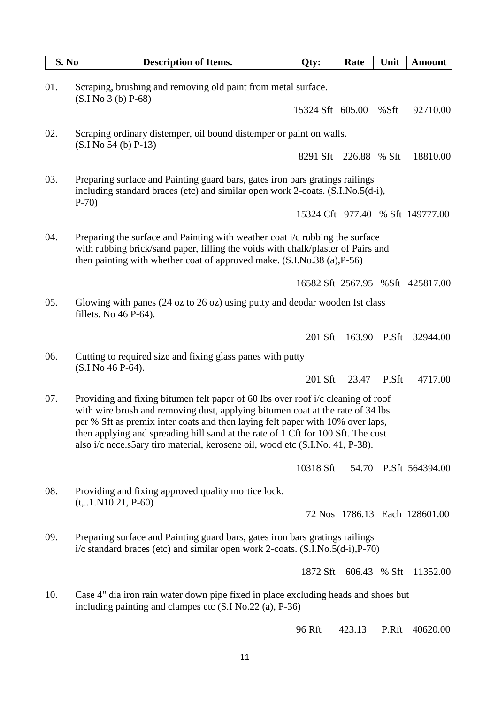|     | S. No  | <b>Description of Items.</b>                                                                                                                                                                                                                                                                                                                                                                                              | Qty:             | Rate         | Unit         | <b>Amount</b>                    |
|-----|--------|---------------------------------------------------------------------------------------------------------------------------------------------------------------------------------------------------------------------------------------------------------------------------------------------------------------------------------------------------------------------------------------------------------------------------|------------------|--------------|--------------|----------------------------------|
| 01. |        | Scraping, brushing and removing old paint from metal surface.<br>$(S.I No 3(b) P-68)$                                                                                                                                                                                                                                                                                                                                     |                  |              |              |                                  |
|     |        |                                                                                                                                                                                                                                                                                                                                                                                                                           | 15324 Sft 605.00 |              | %Sft         | 92710.00                         |
| 02. |        | Scraping ordinary distemper, oil bound distemper or paint on walls.<br>$(S.I No 54(b) P-13)$                                                                                                                                                                                                                                                                                                                              |                  |              |              |                                  |
|     |        |                                                                                                                                                                                                                                                                                                                                                                                                                           | 8291 Sft         | 226.88 % Sft |              | 18810.00                         |
| 03. | $P-70$ | Preparing surface and Painting guard bars, gates iron bars gratings railings<br>including standard braces (etc) and similar open work 2-coats. (S.I.No.5(d-i),                                                                                                                                                                                                                                                            |                  |              |              |                                  |
|     |        |                                                                                                                                                                                                                                                                                                                                                                                                                           |                  |              |              | 15324 Cft 977.40 % Sft 149777.00 |
| 04. |        | Preparing the surface and Painting with weather coat i/c rubbing the surface<br>with rubbing brick/sand paper, filling the voids with chalk/plaster of Pairs and<br>then painting with whether coat of approved make. $(S.I.No.38(a), P-56)$                                                                                                                                                                              |                  |              |              |                                  |
|     |        |                                                                                                                                                                                                                                                                                                                                                                                                                           |                  |              |              | 16582 Sft 2567.95 %Sft 425817.00 |
| 05. |        | Glowing with panes (24 oz to 26 oz) using putty and deodar wooden Ist class<br>fillets. No $46$ P- $64$ ).                                                                                                                                                                                                                                                                                                                |                  |              |              |                                  |
|     |        |                                                                                                                                                                                                                                                                                                                                                                                                                           | 201 Sft          |              | 163.90 P.Sft | 32944.00                         |
| 06. |        | Cutting to required size and fixing glass panes with putty<br>(S.I No 46 P-64).                                                                                                                                                                                                                                                                                                                                           |                  |              |              |                                  |
|     |        |                                                                                                                                                                                                                                                                                                                                                                                                                           | 201 Sft          | 23.47        | P.Sft        | 4717.00                          |
| 07. |        | Providing and fixing bitumen felt paper of 60 lbs over roof i/c cleaning of roof<br>with wire brush and removing dust, applying bitumen coat at the rate of 34 lbs<br>per % Sft as premix inter coats and then laying felt paper with 10% over laps,<br>then applying and spreading hill sand at the rate of 1 Cft for 100 Sft. The cost<br>also i/c nece.s5ary tiro material, kerosene oil, wood etc (S.I.No. 41, P-38). |                  |              |              |                                  |
|     |        |                                                                                                                                                                                                                                                                                                                                                                                                                           | 10318 Sft        |              |              | 54.70 P.Sft 564394.00            |
| 08. |        | Providing and fixing approved quality mortice lock.<br>$(t, 1. N10.21, P-60)$                                                                                                                                                                                                                                                                                                                                             |                  |              |              |                                  |
|     |        |                                                                                                                                                                                                                                                                                                                                                                                                                           |                  |              |              | 72 Nos 1786.13 Each 128601.00    |
| 09. |        | Preparing surface and Painting guard bars, gates iron bars gratings railings<br>$i/c$ standard braces (etc) and similar open work 2-coats. $(S.I.No.5(d-i), P-70)$                                                                                                                                                                                                                                                        |                  |              |              |                                  |
|     |        |                                                                                                                                                                                                                                                                                                                                                                                                                           | 1872 Sft         |              | 606.43 % Sft | 11352.00                         |
| 10. |        | Case 4" dia iron rain water down pipe fixed in place excluding heads and shoes but<br>including painting and clampes etc (S.I No.22 (a), P-36)                                                                                                                                                                                                                                                                            |                  |              |              |                                  |
|     |        |                                                                                                                                                                                                                                                                                                                                                                                                                           | 96 Rft           | 423.13       | P.Rft        | 40620.00                         |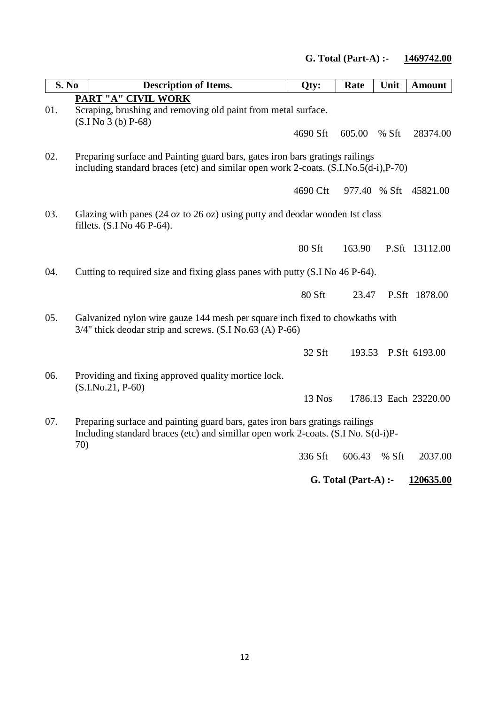| S. No |     | <b>Description of Items.</b>                                                                                                                                         | Qty:     | Rate   | Unit         | <b>Amount</b>         |
|-------|-----|----------------------------------------------------------------------------------------------------------------------------------------------------------------------|----------|--------|--------------|-----------------------|
| 01.   |     | PART "A" CIVIL WORK<br>Scraping, brushing and removing old paint from metal surface.<br>$(S.I No 3(b) P-68)$                                                         |          |        |              |                       |
|       |     |                                                                                                                                                                      | 4690 Sft | 605.00 | % Sft        | 28374.00              |
| 02.   |     | Preparing surface and Painting guard bars, gates iron bars gratings railings<br>including standard braces (etc) and similar open work 2-coats. (S.I.No.5(d-i), P-70) |          |        |              |                       |
|       |     |                                                                                                                                                                      | 4690 Cft |        | 977.40 % Sft | 45821.00              |
| 03.   |     | Glazing with panes (24 oz to 26 oz) using putty and deodar wooden Ist class<br>fillets. (S.I No 46 P-64).                                                            |          |        |              |                       |
|       |     |                                                                                                                                                                      | 80 Sft   | 163.90 |              | P.Sft 13112.00        |
| 04.   |     | Cutting to required size and fixing glass panes with putty (S.I No 46 P-64).                                                                                         |          |        |              |                       |
|       |     |                                                                                                                                                                      | 80 Sft   | 23.47  |              | P.Sft 1878.00         |
| 05.   |     | Galvanized nylon wire gauze 144 mesh per square inch fixed to chowkaths with<br>$3/4$ " thick deodar strip and screws. (S.I No.63 (A) P-66)                          |          |        |              |                       |
|       |     |                                                                                                                                                                      | 32 Sft   | 193.53 |              | P.Sft 6193.00         |
| 06.   |     | Providing and fixing approved quality mortice lock.<br>$(S.I.No.21, P-60)$                                                                                           |          |        |              |                       |
|       |     |                                                                                                                                                                      | 13 Nos   |        |              | 1786.13 Each 23220.00 |
| 07.   | 70) | Preparing surface and painting guard bars, gates iron bars gratings railings<br>Including standard braces (etc) and simillar open work 2-coats. (S.I No. S(d-i)P-    |          |        |              |                       |
|       |     |                                                                                                                                                                      | 336 Sft  | 606.43 | % Sft        | 2037.00               |

**G. Total (Part-A) :- 120635.00**